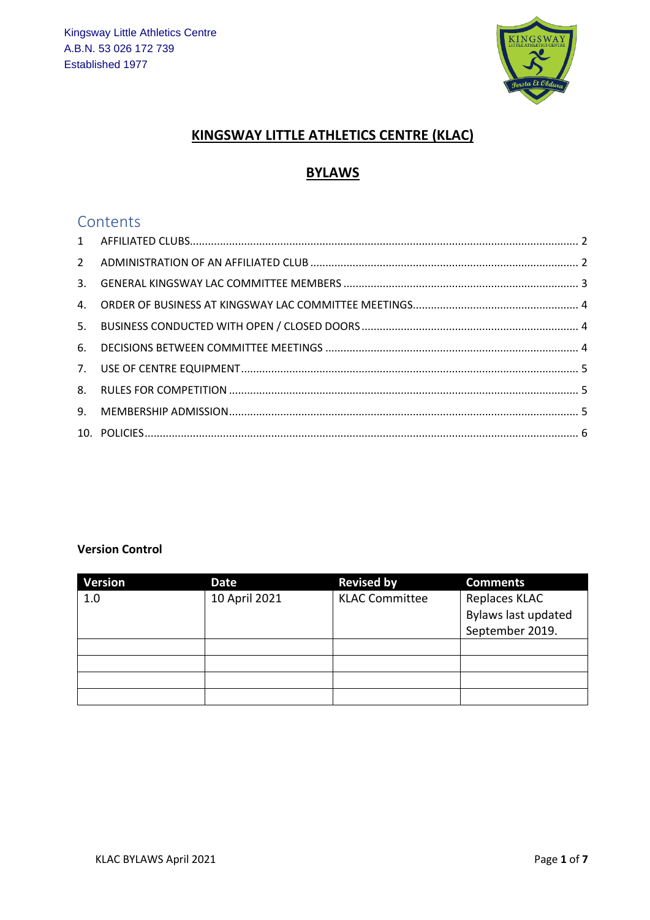

### **KINGSWAY LITTLE ATHLETICS CENTRE (KLAC)**

### **BYLAWS**

### **Contents**

#### **Version Control**

| <b>Version</b> | Date          | <b>Revised by</b>     | <b>Comments</b>     |
|----------------|---------------|-----------------------|---------------------|
| 1.0            | 10 April 2021 | <b>KLAC Committee</b> | Replaces KLAC       |
|                |               |                       | Bylaws last updated |
|                |               |                       | September 2019.     |
|                |               |                       |                     |
|                |               |                       |                     |
|                |               |                       |                     |
|                |               |                       |                     |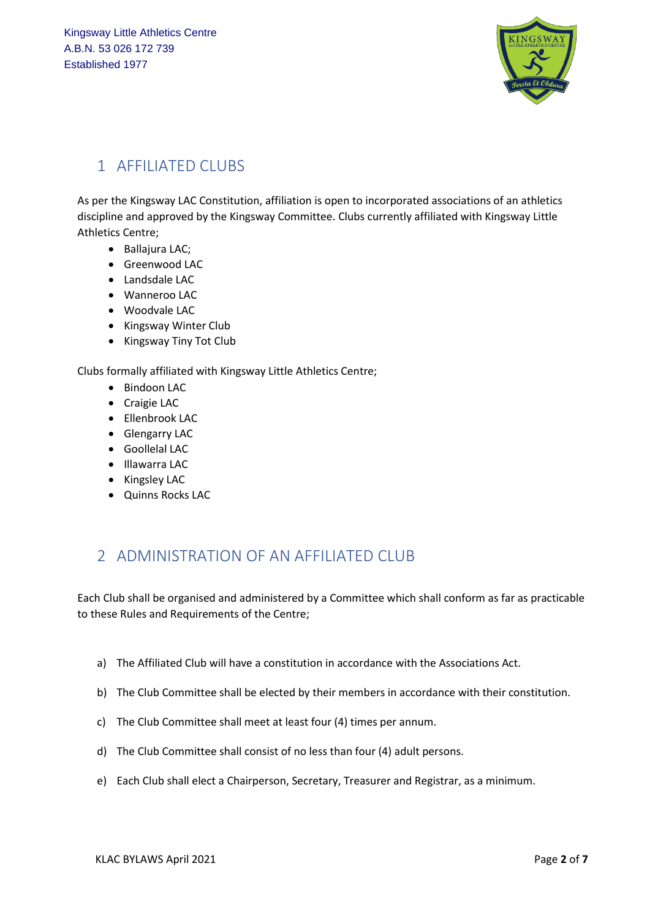

# <span id="page-1-0"></span>1 AFFILIATED CLUBS

As per the Kingsway LAC Constitution, affiliation is open to incorporated associations of an athletics discipline and approved by the Kingsway Committee. Clubs currently affiliated with Kingsway Little Athletics Centre;

- Ballajura LAC;
- Greenwood LAC
- Landsdale LAC
- Wanneroo LAC
- Woodvale LAC
- Kingsway Winter Club
- Kingsway Tiny Tot Club

Clubs formally affiliated with Kingsway Little Athletics Centre;

- Bindoon LAC
- Craigie LAC
- Ellenbrook LAC
- Glengarry LAC
- Goollelal LAC
- Illawarra LAC
- Kingsley LAC
- Quinns Rocks LAC

## <span id="page-1-1"></span>2 ADMINISTRATION OF AN AFFILIATED CLUB

Each Club shall be organised and administered by a Committee which shall conform as far as practicable to these Rules and Requirements of the Centre;

- a) The Affiliated Club will have a constitution in accordance with the Associations Act.
- b) The Club Committee shall be elected by their members in accordance with their constitution.
- c) The Club Committee shall meet at least four (4) times per annum.
- d) The Club Committee shall consist of no less than four (4) adult persons.
- e) Each Club shall elect a Chairperson, Secretary, Treasurer and Registrar, as a minimum.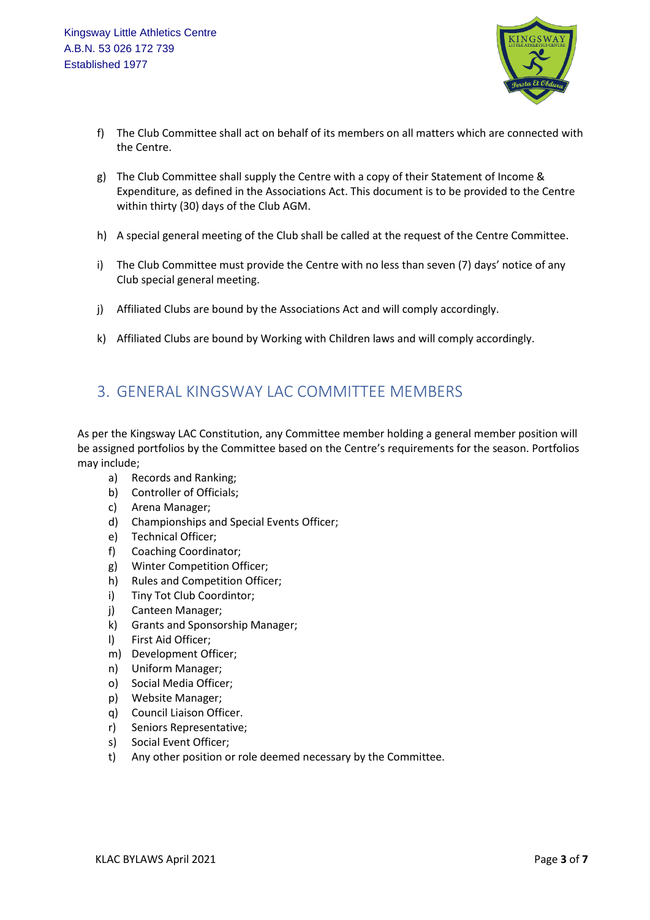

- f) The Club Committee shall act on behalf of its members on all matters which are connected with the Centre.
- g) The Club Committee shall supply the Centre with a copy of their Statement of Income & Expenditure, as defined in the Associations Act. This document is to be provided to the Centre within thirty (30) days of the Club AGM.
- h) A special general meeting of the Club shall be called at the request of the Centre Committee.
- i) The Club Committee must provide the Centre with no less than seven (7) days' notice of any Club special general meeting.
- j) Affiliated Clubs are bound by the Associations Act and will comply accordingly.
- k) Affiliated Clubs are bound by Working with Children laws and will comply accordingly.

### <span id="page-2-0"></span>3. GENERAL KINGSWAY LAC COMMITTEE MEMBERS

As per the Kingsway LAC Constitution, any Committee member holding a general member position will be assigned portfolios by the Committee based on the Centre's requirements for the season. Portfolios may include;

- a) Records and Ranking;
- b) Controller of Officials;
- c) Arena Manager;
- d) Championships and Special Events Officer;
- e) Technical Officer;
- f) Coaching Coordinator;
- g) Winter Competition Officer;
- h) Rules and Competition Officer;
- i) Tiny Tot Club Coordintor;
- j) Canteen Manager;
- k) Grants and Sponsorship Manager;
- l) First Aid Officer;
- m) Development Officer;
- n) Uniform Manager;
- o) Social Media Officer;
- p) Website Manager;
- q) Council Liaison Officer.
- r) Seniors Representative;
- s) Social Event Officer;
- t) Any other position or role deemed necessary by the Committee.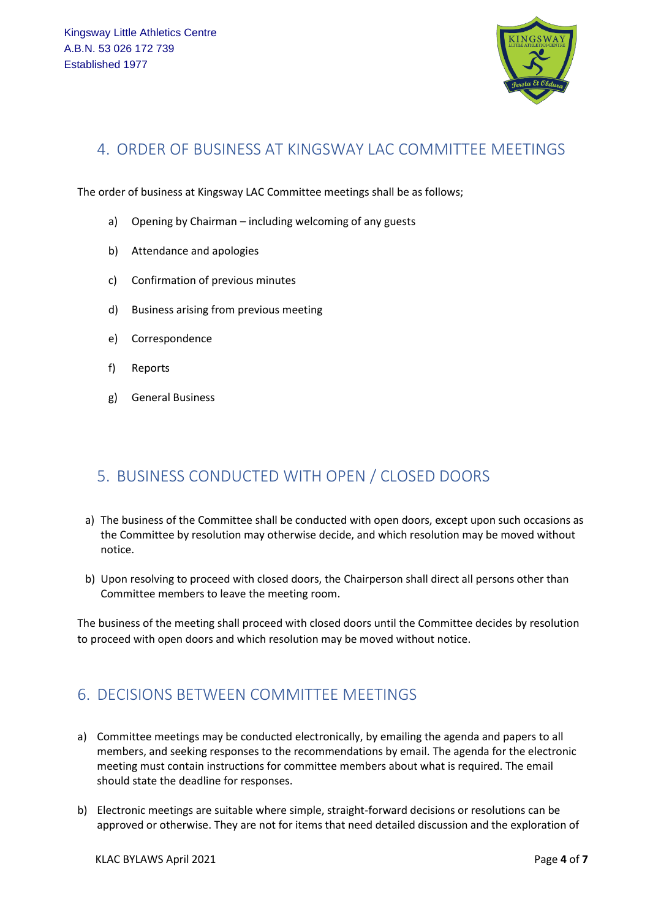

#### <span id="page-3-0"></span>4. ORDER OF BUSINESS AT KINGSWAY LAC COMMITTEE MEETINGS

The order of business at Kingsway LAC Committee meetings shall be as follows;

- a) Opening by Chairman including welcoming of any guests
- b) Attendance and apologies
- c) Confirmation of previous minutes
- d) Business arising from previous meeting
- e) Correspondence
- f) Reports
- g) General Business

## <span id="page-3-1"></span>5. BUSINESS CONDUCTED WITH OPEN / CLOSED DOORS

- a) The business of the Committee shall be conducted with open doors, except upon such occasions as the Committee by resolution may otherwise decide, and which resolution may be moved without notice.
- b) Upon resolving to proceed with closed doors, the Chairperson shall direct all persons other than Committee members to leave the meeting room.

The business of the meeting shall proceed with closed doors until the Committee decides by resolution to proceed with open doors and which resolution may be moved without notice.

## <span id="page-3-2"></span>6. DECISIONS BETWEEN COMMITTEE MEETINGS

- a) Committee meetings may be conducted electronically, by emailing the agenda and papers to all members, and seeking responses to the recommendations by email. The agenda for the electronic meeting must contain instructions for committee members about what is required. The email should state the deadline for responses.
- b) Electronic meetings are suitable where simple, straight-forward decisions or resolutions can be approved or otherwise. They are not for items that need detailed discussion and the exploration of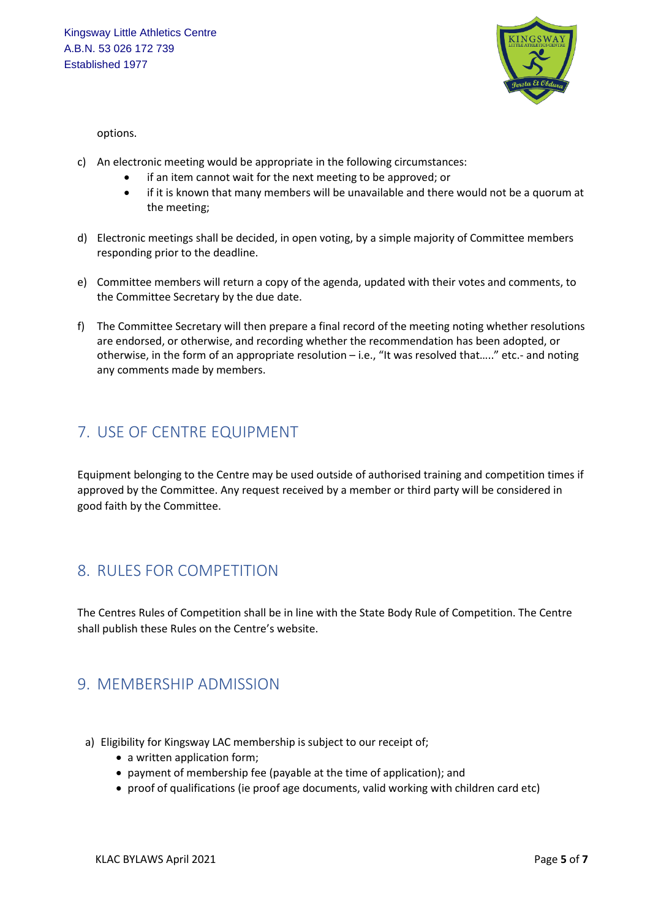

options.

- c) An electronic meeting would be appropriate in the following circumstances:
	- if an item cannot wait for the next meeting to be approved; or
	- if it is known that many members will be unavailable and there would not be a quorum at the meeting;
- d) Electronic meetings shall be decided, in open voting, by a simple majority of Committee members responding prior to the deadline.
- e) Committee members will return a copy of the agenda, updated with their votes and comments, to the Committee Secretary by the due date.
- f) The Committee Secretary will then prepare a final record of the meeting noting whether resolutions are endorsed, or otherwise, and recording whether the recommendation has been adopted, or otherwise, in the form of an appropriate resolution – i.e., "It was resolved that….." etc.- and noting any comments made by members.

#### <span id="page-4-0"></span>7. USE OF CENTRE EQUIPMENT

Equipment belonging to the Centre may be used outside of authorised training and competition times if approved by the Committee. Any request received by a member or third party will be considered in good faith by the Committee.

#### <span id="page-4-1"></span>8. RULES FOR COMPETITION

The Centres Rules of Competition shall be in line with the State Body Rule of Competition. The Centre shall publish these Rules on the Centre's website.

#### <span id="page-4-2"></span>9. MEMBERSHIP ADMISSION

- a) Eligibility for Kingsway LAC membership is subject to our receipt of;
	- a written application form;
	- payment of membership fee (payable at the time of application); and
	- proof of qualifications (ie proof age documents, valid working with children card etc)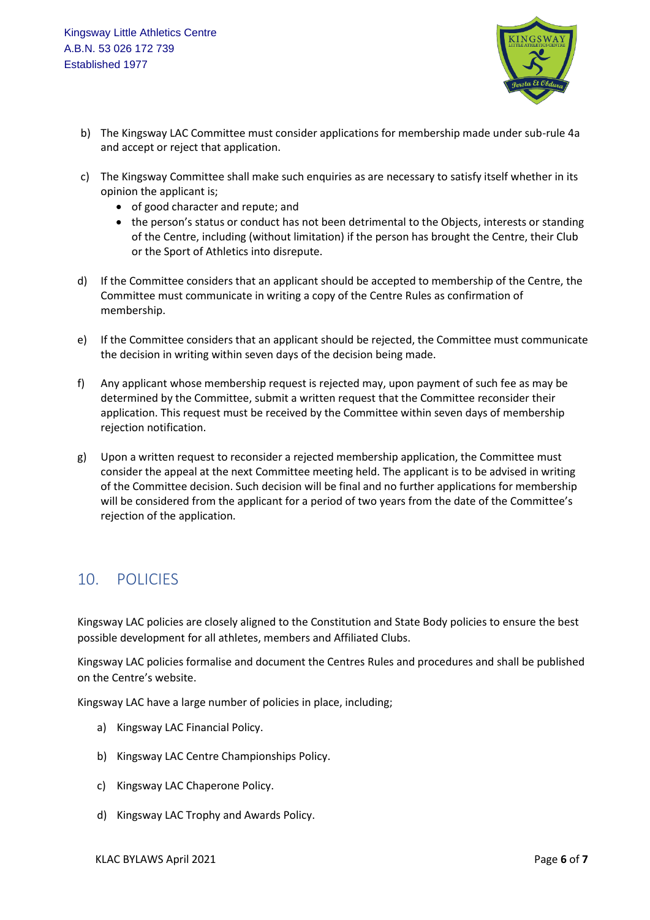

- b) The Kingsway LAC Committee must consider applications for membership made under sub-rule 4a and accept or reject that application.
- c) The Kingsway Committee shall make such enquiries as are necessary to satisfy itself whether in its opinion the applicant is;
	- of good character and repute; and
	- the person's status or conduct has not been detrimental to the Objects, interests or standing of the Centre, including (without limitation) if the person has brought the Centre, their Club or the Sport of Athletics into disrepute.
- d) If the Committee considers that an applicant should be accepted to membership of the Centre, the Committee must communicate in writing a copy of the Centre Rules as confirmation of membership.
- e) If the Committee considers that an applicant should be rejected, the Committee must communicate the decision in writing within seven days of the decision being made.
- f) Any applicant whose membership request is rejected may, upon payment of such fee as may be determined by the Committee, submit a written request that the Committee reconsider their application. This request must be received by the Committee within seven days of membership rejection notification.
- g) Upon a written request to reconsider a rejected membership application, the Committee must consider the appeal at the next Committee meeting held. The applicant is to be advised in writing of the Committee decision. Such decision will be final and no further applications for membership will be considered from the applicant for a period of two years from the date of the Committee's rejection of the application.

## <span id="page-5-0"></span>10. POLICIES

Kingsway LAC policies are closely aligned to the Constitution and State Body policies to ensure the best possible development for all athletes, members and Affiliated Clubs.

Kingsway LAC policies formalise and document the Centres Rules and procedures and shall be published on the Centre's website.

Kingsway LAC have a large number of policies in place, including;

- a) Kingsway LAC Financial Policy.
- b) Kingsway LAC Centre Championships Policy.
- c) Kingsway LAC Chaperone Policy.
- d) Kingsway LAC Trophy and Awards Policy.